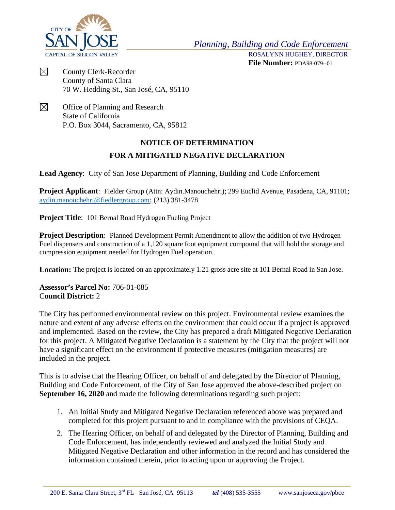

*Planning, Building and Code Enforcement*

ROSALYNN HUGHEY, DIRECTOR **File Number:** PDA98-079--01

- $\boxtimes$ County Clerk-Recorder County of Santa Clara 70 W. Hedding St., San José, CA, 95110
- $\boxtimes$ Office of Planning and Research State of California P.O. Box 3044, Sacramento, CA, 95812

## **NOTICE OF DETERMINATION FOR A MITIGATED NEGATIVE DECLARATION**

**Lead Agency**:City of San Jose Department of Planning, Building and Code Enforcement

**Project Applicant**: Fielder Group (Attn: Aydin.Manouchehri); 299 Euclid Avenue, Pasadena, CA, 91101; [aydin.manouchehri@fiedlergroup.com;](mailto:aydin.manouchehri@fiedlergroup.com) (213) 381-3478

**Project Title**: 101 Bernal Road Hydrogen Fueling Project

**Project Description**: Planned Development Permit Amendment to allow the addition of two Hydrogen Fuel dispensers and construction of a 1,120 square foot equipment compound that will hold the storage and compression equipment needed for Hydrogen Fuel operation.

**Location:** The project is located on an approximately 1.21 gross acre site at 101 Bernal Road in San Jose.

**Assessor's Parcel No:** 706-01-085 C**ouncil District:** 2

The City has performed environmental review on this project. Environmental review examines the nature and extent of any adverse effects on the environment that could occur if a project is approved and implemented. Based on the review, the City has prepared a draft Mitigated Negative Declaration for this project. A Mitigated Negative Declaration is a statement by the City that the project will not have a significant effect on the environment if protective measures (mitigation measures) are included in the project.

This is to advise that the Hearing Officer, on behalf of and delegated by the Director of Planning, Building and Code Enforcement, of the City of San Jose approved the above-described project on **September 16, 2020** and made the following determinations regarding such project:

- 1. An Initial Study and Mitigated Negative Declaration referenced above was prepared and completed for this project pursuant to and in compliance with the provisions of CEQA.
- 2. The Hearing Officer, on behalf of and delegated by the Director of Planning, Building and Code Enforcement, has independently reviewed and analyzed the Initial Study and Mitigated Negative Declaration and other information in the record and has considered the information contained therein, prior to acting upon or approving the Project.